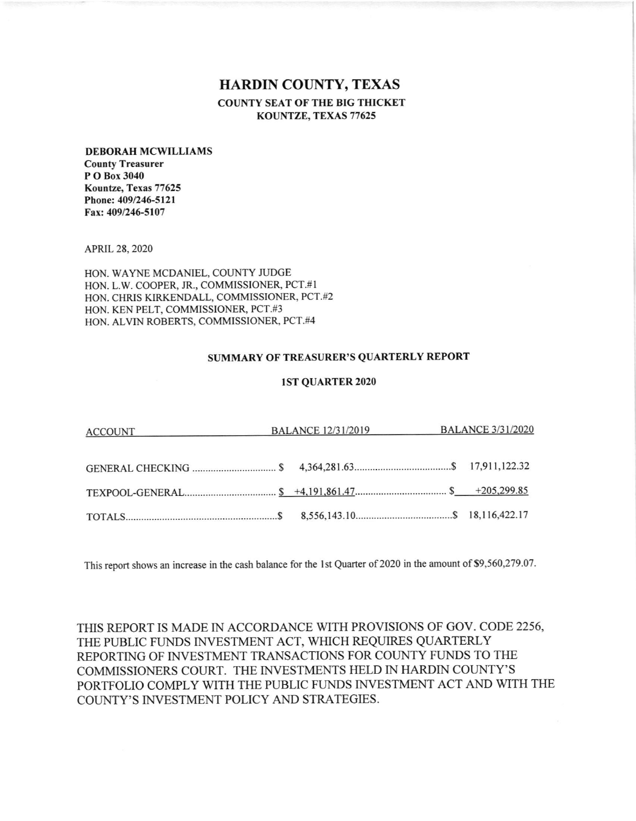## **HARDIN COUNTY, TEXAS COUNTY SEAT OF THE BIG THICKET** KOUNTZE, TEXAS 77625

## **DEBORAH MCWILLIAMS**

**County Treasurer** P O Box 3040 Kountze, Texas 77625 Phone: 409/246-5121 Fax: 409/246-5107

APRIL 28, 2020

HON. WAYNE MCDANIEL, COUNTY JUDGE HON. L.W. COOPER, JR., COMMISSIONER, PCT.#1 HON. CHRIS KIRKENDALL, COMMISSIONER, PCT.#2 HON. KEN PELT, COMMISSIONER, PCT.#3 HON. ALVIN ROBERTS, COMMISSIONER, PCT.#4

## SUMMARY OF TREASURER'S QUARTERLY REPORT

## **1ST QUARTER 2020**

| ACCOUNT | BALANCE 12/31/2019 BALANCE 3/31/2020 |  |
|---------|--------------------------------------|--|
|         |                                      |  |
|         |                                      |  |
|         |                                      |  |

This report shows an increase in the cash balance for the 1st Quarter of 2020 in the amount of \$9,560,279.07.

THIS REPORT IS MADE IN ACCORDANCE WITH PROVISIONS OF GOV. CODE 2256, THE PUBLIC FUNDS INVESTMENT ACT, WHICH REQUIRES QUARTERLY REPORTING OF INVESTMENT TRANSACTIONS FOR COUNTY FUNDS TO THE COMMISSIONERS COURT. THE INVESTMENTS HELD IN HARDIN COUNTY'S PORTFOLIO COMPLY WITH THE PUBLIC FUNDS INVESTMENT ACT AND WITH THE COUNTY'S INVESTMENT POLICY AND STRATEGIES.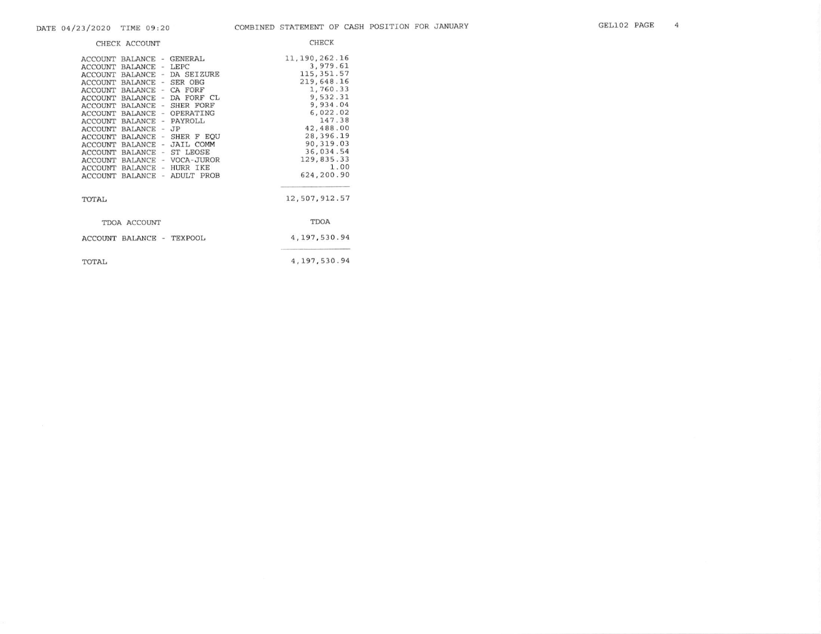| CHECK ACCOUNT                                                                                                                                                                                                                                                                                                                                                                                                                                                                                                                                                                                                                                                                                                                                                                  | <b>CHECK</b>                                                                                                                                                                                                 |
|--------------------------------------------------------------------------------------------------------------------------------------------------------------------------------------------------------------------------------------------------------------------------------------------------------------------------------------------------------------------------------------------------------------------------------------------------------------------------------------------------------------------------------------------------------------------------------------------------------------------------------------------------------------------------------------------------------------------------------------------------------------------------------|--------------------------------------------------------------------------------------------------------------------------------------------------------------------------------------------------------------|
| ACCOUNT BALANCE - GENERAL<br>- LEPC<br><b>ACCOUNT</b><br><b>BALANCE</b><br>- DA SEIZURE<br><b>ACCOUNT</b><br><b>BALANCE</b><br>- SER OBG<br><b>ACCOUNT</b><br><b>BALANCE</b><br>- CA FORF<br><b>BALANCE</b><br><b>ACCOUNT</b><br>- DA FORF CL<br><b>BALANCE</b><br><b>ACCOUNT</b><br>- SHER FORF<br><b>BALANCE</b><br><b>ACCOUNT</b><br>- OPERATING<br><b>BALANCE</b><br><b>ACCOUNT</b><br>BALANCE - PAYROLL<br><b>ACCOUNT</b><br><b>BALANCE</b><br>$-$ JP<br><b>ACCOUNT</b><br><b>BALANCE</b><br><b>ACCOUNT</b><br>- SHER F EOU<br>- JAIL COMM<br><b>BALANCE</b><br><b>ACCOUNT</b><br>BALANCE - ST LEOSE<br><b>ACCOUNT</b><br>- VOCA-JUROR<br><b>BALANCE</b><br><b>ACCOUNT</b><br>- HURR IKE<br><b>BALANCE</b><br><b>ACCOUNT</b><br>- ADULT PROB<br>ACCOUNT<br><b>BALANCE</b> | 11, 190, 262. 16<br>3,979.61<br>115, 351.57<br>219,648.16<br>1,760.33<br>9,532.31<br>9,934.04<br>6,022.02<br>147.38<br>42,488.00<br>28,396.19<br>90, 319.03<br>36,034.54<br>129,835.33<br>1.00<br>624,200.90 |
| TOTAL                                                                                                                                                                                                                                                                                                                                                                                                                                                                                                                                                                                                                                                                                                                                                                          | 12,507,912.57                                                                                                                                                                                                |
| TDOA ACCOUNT                                                                                                                                                                                                                                                                                                                                                                                                                                                                                                                                                                                                                                                                                                                                                                   | <b>TDOA</b>                                                                                                                                                                                                  |
| ACCOUNT BALANCE - TEXPOOL                                                                                                                                                                                                                                                                                                                                                                                                                                                                                                                                                                                                                                                                                                                                                      | 4,197,530.94                                                                                                                                                                                                 |
| TOTAL                                                                                                                                                                                                                                                                                                                                                                                                                                                                                                                                                                                                                                                                                                                                                                          | 4, 197, 530.94                                                                                                                                                                                               |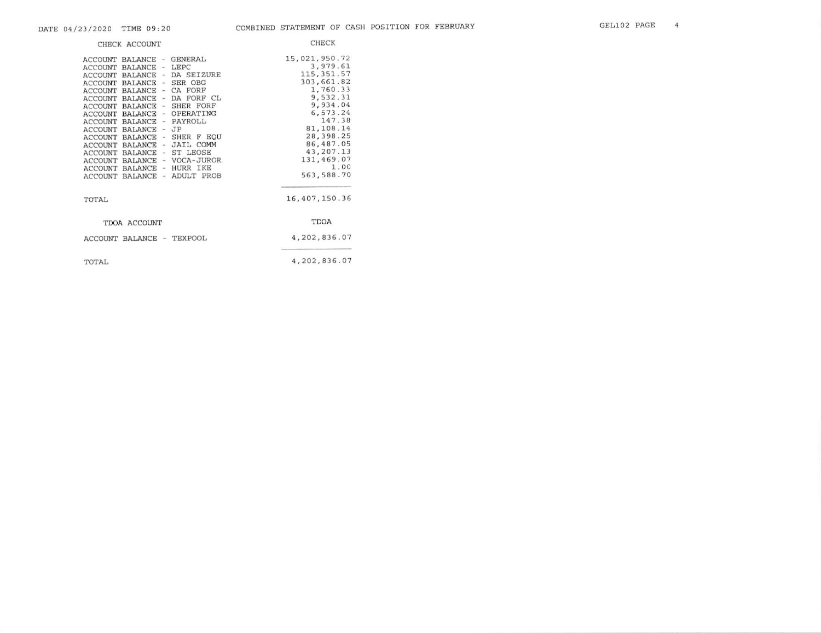| CHECK ACCOUNT                                                                                                                                                                                                                                                                                                                                                                                                                                                                                                                                                                                                                                                                                                                                                                                                             | CHECK                                                                                                                                                                                                      |
|---------------------------------------------------------------------------------------------------------------------------------------------------------------------------------------------------------------------------------------------------------------------------------------------------------------------------------------------------------------------------------------------------------------------------------------------------------------------------------------------------------------------------------------------------------------------------------------------------------------------------------------------------------------------------------------------------------------------------------------------------------------------------------------------------------------------------|------------------------------------------------------------------------------------------------------------------------------------------------------------------------------------------------------------|
| <b>GENERAL</b><br><b>ACCOUNT</b><br>BALANCE<br>$\sim$<br><b>BALANCE</b><br>$-$ LEPC<br><b>ACCOUNT</b><br>- DA SEIZURE<br><b>BALANCE</b><br><b>ACCOUNT</b><br>- SER OBG<br><b>BALANCE</b><br><b>ACCOUNT</b><br>- CA FORF<br><b>ACCOUNT</b><br><b>BALANCE</b><br>- DA FORF CL<br><b>BALANCE</b><br><b>ACCOUNT</b><br>- SHER FORF<br><b>BALANCE</b><br><b>ACCOUNT</b><br>- OPERATING<br><b>BALANCE</b><br><b>ACCOUNT</b><br>- PAYROLL<br><b>BALANCE</b><br><b>ACCOUNT</b><br><b>BALANCE</b><br>$-$ JP<br><b>ACCOUNT</b><br><b>BALANCE</b><br>- SHER F EOU<br><b>ACCOUNT</b><br>- JAIL COMM<br><b>ACCOUNT</b><br><b>BALANCE</b><br>- ST LEOSE<br><b>BALANCE</b><br><b>ACCOUNT</b><br>- VOCA-JUROR<br><b>BALANCE</b><br>ACCOUNT<br><b>BALANCE</b><br>- HURR IKE<br><b>ACCOUNT</b><br>- ADULT PROB<br><b>BALANCE</b><br>ACCOUNT | 15,021,950.72<br>3,979.61<br>115, 351.57<br>303,661.82<br>1,760.33<br>9,532.31<br>9,934.04<br>6,573.24<br>147.38<br>81,108.14<br>28,398.25<br>86,487.05<br>43, 207.13<br>131,469.07<br>1.00<br>563, 588.70 |
| TOTAL                                                                                                                                                                                                                                                                                                                                                                                                                                                                                                                                                                                                                                                                                                                                                                                                                     | 16, 407, 150.36                                                                                                                                                                                            |
| TDOA ACCOUNT                                                                                                                                                                                                                                                                                                                                                                                                                                                                                                                                                                                                                                                                                                                                                                                                              | <b>TDOA</b>                                                                                                                                                                                                |
| ACCOUNT BALANCE - TEXPOOL                                                                                                                                                                                                                                                                                                                                                                                                                                                                                                                                                                                                                                                                                                                                                                                                 | 4,202,836.07                                                                                                                                                                                               |
| TOTAL                                                                                                                                                                                                                                                                                                                                                                                                                                                                                                                                                                                                                                                                                                                                                                                                                     | 4,202,836.07                                                                                                                                                                                               |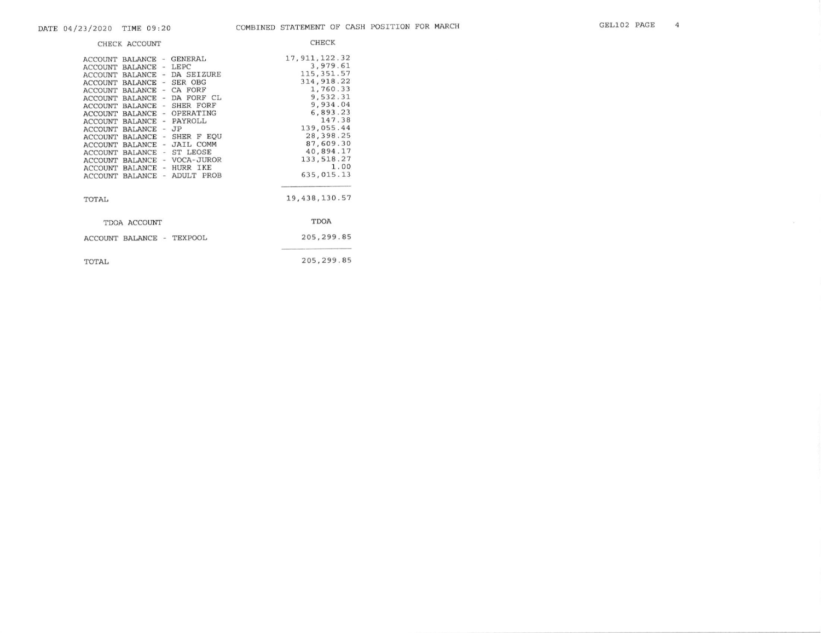| CHECK ACCOUNT                                                                                                                                                                                                                                                                                                                                                                                                                                                                                                                                                                                                                   | <b>CHECK</b>                                                                                                                                                                                                   |
|---------------------------------------------------------------------------------------------------------------------------------------------------------------------------------------------------------------------------------------------------------------------------------------------------------------------------------------------------------------------------------------------------------------------------------------------------------------------------------------------------------------------------------------------------------------------------------------------------------------------------------|----------------------------------------------------------------------------------------------------------------------------------------------------------------------------------------------------------------|
| ACCOUNT BALANCE - GENERAL<br>BALANCE - LEPC<br><b>ACCOUNT</b><br>BALANCE - DA SEIZURE<br>ACCOUNT<br>- SER OBG<br><b>BALANCE</b><br><b>ACCOUNT</b><br>BALANCE - CA FORF<br>ACCOUNT<br>- DA FORF CL<br><b>BALANCE</b><br>ACCOUNT<br><b>BALANCE - SHER FORF</b><br><b>ACCOUNT</b><br>- OPERATING<br><b>BALANCE</b><br><b>ACCOUNT</b><br>BALANCE - PAYROLL<br>ACCOUNT<br><b>BALANCE - JP</b><br>ACCOUNT<br>- SHER F EOU<br><b>BALANCE</b><br><b>ACCOUNT</b><br>BALANCE - JAIL COMM<br><b>ACCOUNT</b><br>ACCOUNT BALANCE - ST LEOSE<br>BALANCE - VOCA-JUROR<br>ACCOUNT<br>ACCOUNT BALANCE - HURR IKE<br>ACCOUNT BALANCE - ADULT PROB | 17, 911, 122.32<br>3,979.61<br>115, 351.57<br>314, 918.22<br>1,760.33<br>9,532.31<br>9,934.04<br>6,893.23<br>147.38<br>139,055.44<br>28,398.25<br>87,609.30<br>40,894.17<br>133, 518.27<br>1.00<br>635, 015.13 |
| TOTAL                                                                                                                                                                                                                                                                                                                                                                                                                                                                                                                                                                                                                           | 19, 438, 130.57                                                                                                                                                                                                |
| TDOA ACCOUNT                                                                                                                                                                                                                                                                                                                                                                                                                                                                                                                                                                                                                    | TDOA                                                                                                                                                                                                           |
| ACCOUNT BALANCE - TEXPOOL                                                                                                                                                                                                                                                                                                                                                                                                                                                                                                                                                                                                       | 205, 299.85                                                                                                                                                                                                    |
| TOTAL                                                                                                                                                                                                                                                                                                                                                                                                                                                                                                                                                                                                                           | 205, 299.85                                                                                                                                                                                                    |